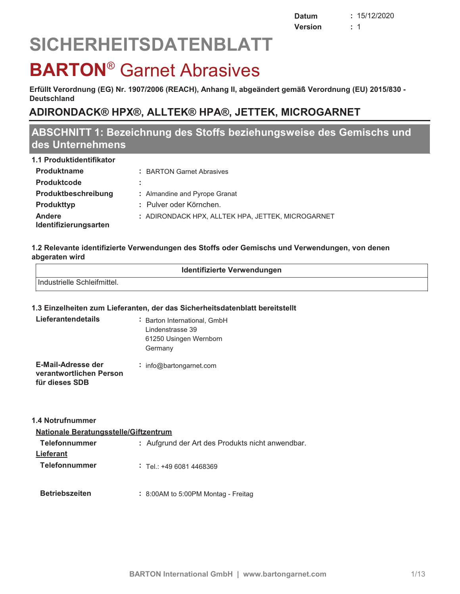# **SICHERHEITSDATENBLATT**

## **BARTON<sup>®</sup> Garnet Abrasives**

Erfüllt Verordnung (EG) Nr. 1907/2006 (REACH), Anhang II, abgeändert gemäß Verordnung (EU) 2015/830 -**Deutschland** 

## ADIRONDACK® HPX®, ALLTEK® HPA®, JETTEK, MICROGARNET

## ABSCHNITT 1: Bezeichnung des Stoffs beziehungsweise des Gemischs und des Unternehmens

| 1.1 Produktidentifikator               |                                                   |
|----------------------------------------|---------------------------------------------------|
| <b>Produktname</b>                     | : BARTON Garnet Abrasives                         |
| <b>Produktcode</b>                     | ÷.                                                |
| Produktbeschreibung                    | : Almandine and Pyrope Granat                     |
| <b>Produkttyp</b>                      | : Pulver oder Körnchen.                           |
| <b>Andere</b><br>Identifizierungsarten | : ADIRONDACK HPX. ALLTEK HPA. JETTEK. MICROGARNET |

#### 1.2 Relevante identifizierte Verwendungen des Stoffs oder Gemischs und Verwendungen, von denen abgeraten wird

| Industrielle Schleifmittel. |  |
|-----------------------------|--|
|                             |  |

#### 1.3 Einzelheiten zum Lieferanten, der das Sicherheitsdatenblatt bereitstellt

| Lieferantendetails                                              | : Barton International, GmbH<br>Lindenstrasse 39<br>61250 Usingen Wernborn<br>Germany |
|-----------------------------------------------------------------|---------------------------------------------------------------------------------------|
| E-Mail-Adresse der<br>verantwortlichen Person<br>für dieses SDB | $:$ info@bartongarnet.com                                                             |

| 1.4 Notrufnummer                             |                                                  |
|----------------------------------------------|--------------------------------------------------|
| <b>Nationale Beratungsstelle/Giftzentrum</b> |                                                  |
| <b>Telefonnummer</b>                         | : Aufgrund der Art des Produkts nicht anwendbar. |
| <b>Lieferant</b>                             |                                                  |
| <b>Telefonnummer</b>                         | $:$ Tel: +49 6081 4468369                        |
|                                              |                                                  |
| <b>Betriebszeiten</b>                        | $: 8:00$ AM to 5:00PM Montag - Freitag           |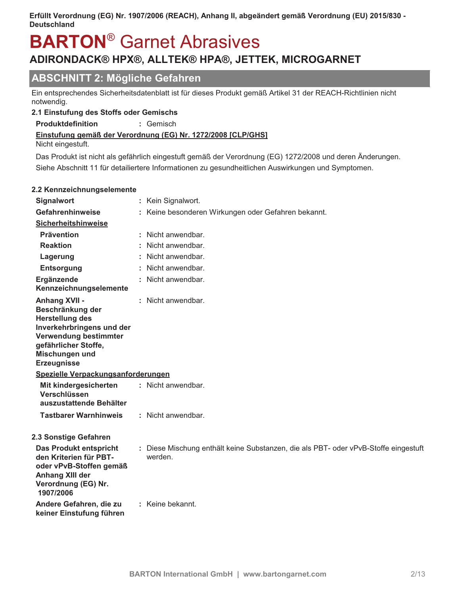# **BARTON<sup>®</sup>** Garnet Abrasives

## ADIRONDACK® HPX®, ALLTEK® HPA®, JETTEK, MICROGARNET

## **ABSCHNITT 2: Mögliche Gefahren**

Ein entsprechendes Sicherheitsdatenblatt ist für dieses Produkt gemäß Artikel 31 der REACH-Richtlinien nicht notwendig.

#### 2.1 Einstufung des Stoffs oder Gemischs

Produktdefinition : Gemisch

#### Einstufung gemäß der Verordnung (EG) Nr. 1272/2008 [CLP/GHS]

Nicht eingestuft.

Das Produkt ist nicht als gefährlich eingestuft gemäß der Verordnung (EG) 1272/2008 und deren Änderungen. Siehe Abschnitt 11 für detailiertere Informationen zu gesundheitlichen Auswirkungen und Symptomen.

#### 2.2 Kennzeichnungselemente

| <b>Signalwort</b>                                                                                                                                                                        | Kein Signalwort.                                                                               |
|------------------------------------------------------------------------------------------------------------------------------------------------------------------------------------------|------------------------------------------------------------------------------------------------|
| Gefahrenhinweise                                                                                                                                                                         | Keine besonderen Wirkungen oder Gefahren bekannt.                                              |
| <b>Sicherheitshinweise</b>                                                                                                                                                               |                                                                                                |
| <b>Prävention</b>                                                                                                                                                                        | : Nicht anwendbar.                                                                             |
| <b>Reaktion</b>                                                                                                                                                                          | : Nicht anwendbar.                                                                             |
| Lagerung                                                                                                                                                                                 | Nicht anwendbar.                                                                               |
| <b>Entsorgung</b>                                                                                                                                                                        | : Nicht anwendbar.                                                                             |
| Ergänzende<br>Kennzeichnungselemente                                                                                                                                                     | : Nicht anwendbar.                                                                             |
| <b>Anhang XVII -</b><br>Beschränkung der<br><b>Herstellung des</b><br>Inverkehrbringens und der<br>Verwendung bestimmter<br>gefährlicher Stoffe,<br>Mischungen und<br><b>Erzeugnisse</b> | : Nicht anwendbar.                                                                             |
| Spezielle Verpackungsanforderungen                                                                                                                                                       |                                                                                                |
| Mit kindergesicherten<br>Verschlüssen<br>auszustattende Behälter                                                                                                                         | : Nicht anwendbar.                                                                             |
| <b>Tastbarer Warnhinweis</b>                                                                                                                                                             | : Nicht anwendbar.                                                                             |
| 2.3 Sonstige Gefahren<br><b>Das Produkt entspricht</b><br>den Kriterien für PBT-<br>oder vPvB-Stoffen gemäß<br><b>Anhang XIII der</b><br>Verordnung (EG) Nr.<br>1907/2006                | : Diese Mischung enthält keine Substanzen, die als PBT- oder vPvB-Stoffe eingestuft<br>werden. |
| Andere Gefahren, die zu<br>keiner Einstufung führen                                                                                                                                      | : Keine bekannt.                                                                               |
|                                                                                                                                                                                          |                                                                                                |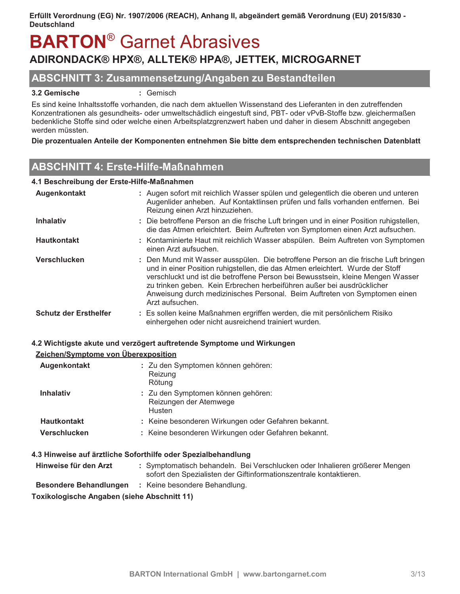## **BARTON<sup>®</sup> Garnet Abrasives** ADIRONDACK® HPX®, ALLTEK® HPA®, JETTEK, MICROGARNET

#### **ABSCHNITT 3: Zusammensetzung/Angaben zu Bestandteilen**

#### 3.2 Gemische

: Gemisch

Es sind keine Inhaltsstoffe vorhanden, die nach dem aktuellen Wissenstand des Lieferanten in den zutreffenden Konzentrationen als gesundheits- oder umweltschädlich eingestuft sind, PBT- oder vPvB-Stoffe bzw. gleichermaßen bedenkliche Stoffe sind oder welche einen Arbeitsplatzgrenzwert haben und daher in diesem Abschnitt angegeben werden müssten.

Die prozentualen Anteile der Komponenten entnehmen Sie bitte dem entsprechenden technischen Datenblatt

## **ABSCHNITT 4: Erste-Hilfe-Maßnahmen**

#### 4.1 Beschreibung der Erste-Hilfe-Maßnahmen

| Augenkontakt                 | : Augen sofort mit reichlich Wasser spülen und gelegentlich die oberen und unteren<br>Augenlider anheben. Auf Kontaktlinsen prüfen und falls vorhanden entfernen. Bei<br>Reizung einen Arzt hinzuziehen.                                                                                                                                                                                                                           |
|------------------------------|------------------------------------------------------------------------------------------------------------------------------------------------------------------------------------------------------------------------------------------------------------------------------------------------------------------------------------------------------------------------------------------------------------------------------------|
| <b>Inhalativ</b>             | : Die betroffene Person an die frische Luft bringen und in einer Position ruhigstellen,<br>die das Atmen erleichtert. Beim Auftreten von Symptomen einen Arzt aufsuchen.                                                                                                                                                                                                                                                           |
| <b>Hautkontakt</b>           | : Kontaminierte Haut mit reichlich Wasser abspülen. Beim Auftreten von Symptomen<br>einen Arzt aufsuchen.                                                                                                                                                                                                                                                                                                                          |
| Verschlucken                 | : Den Mund mit Wasser ausspülen. Die betroffene Person an die frische Luft bringen<br>und in einer Position ruhigstellen, die das Atmen erleichtert. Wurde der Stoff<br>verschluckt und ist die betroffene Person bei Bewusstsein, kleine Mengen Wasser<br>zu trinken geben. Kein Erbrechen herbeiführen außer bei ausdrücklicher<br>Anweisung durch medizinisches Personal. Beim Auftreten von Symptomen einen<br>Arzt aufsuchen. |
| <b>Schutz der Ersthelfer</b> | : Es sollen keine Maßnahmen ergriffen werden, die mit persönlichem Risiko<br>einhergehen oder nicht ausreichend trainiert wurden.                                                                                                                                                                                                                                                                                                  |

#### 4.2 Wichtigste akute und verzögert auftretende Symptome und Wirkungen

| Zeichen/Symptome von Überexposition |                                                                        |
|-------------------------------------|------------------------------------------------------------------------|
| Augenkontakt                        | : Zu den Symptomen können gehören:<br>Reizung<br>Rötung                |
| <b>Inhalativ</b>                    | : Zu den Symptomen können gehören:<br>Reizungen der Atemwege<br>Husten |
| <b>Hautkontakt</b>                  | : Keine besonderen Wirkungen oder Gefahren bekannt.                    |
| <b>Verschlucken</b>                 | : Keine besonderen Wirkungen oder Gefahren bekannt.                    |

#### 4.3 Hinweise auf ärztliche Soforthilfe oder Spezialbehandlung

Hinweise für den Arzt : Symptomatisch behandeln. Bei Verschlucken oder Inhalieren größerer Mengen sofort den Spezialisten der Giftinformationszentrale kontaktieren. **Besondere Behandlungen** : Keine besondere Behandlung.

Toxikologische Angaben (siehe Abschnitt 11)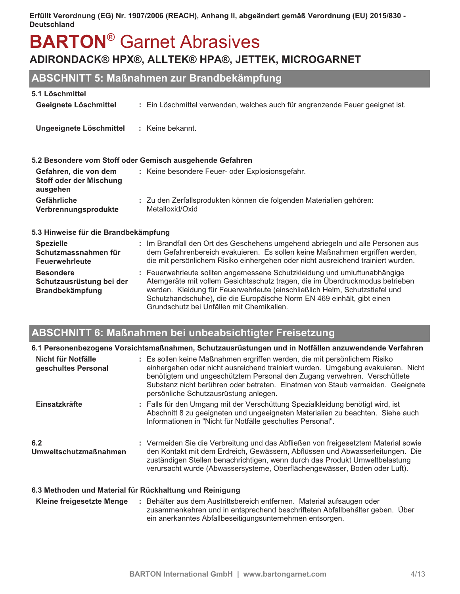## **BARTON®** Garnet Abrasives ADIRONDACK® HPX®, ALLTEK® HPA®, JETTEK, MICROGARNET

## ABSCHNITT 5: Maßnahmen zur Brandbekämpfung

| 5.1 Löschmittel                                                        |                                                                                                                                                                                                                                                                                                                                                                 |
|------------------------------------------------------------------------|-----------------------------------------------------------------------------------------------------------------------------------------------------------------------------------------------------------------------------------------------------------------------------------------------------------------------------------------------------------------|
| Geeignete Löschmittel                                                  | : Ein Löschmittel verwenden, welches auch für angrenzende Feuer geeignet ist.                                                                                                                                                                                                                                                                                   |
| Ungeeignete Löschmittel                                                | : Keine bekannt.                                                                                                                                                                                                                                                                                                                                                |
|                                                                        | 5.2 Besondere vom Stoff oder Gemisch ausgehende Gefahren                                                                                                                                                                                                                                                                                                        |
| Gefahren, die von dem<br><b>Stoff oder der Mischung</b><br>ausgehen    | : Keine besondere Feuer- oder Explosionsgefahr.                                                                                                                                                                                                                                                                                                                 |
| Gefährliche<br>Verbrennungsprodukte                                    | : Zu den Zerfallsprodukten können die folgenden Materialien gehören:<br>Metalloxid/Oxid                                                                                                                                                                                                                                                                         |
| 5.3 Hinweise für die Brandbekämpfung                                   |                                                                                                                                                                                                                                                                                                                                                                 |
| <b>Spezielle</b><br>Schutzmassnahmen für<br><b>Feuerwehrleute</b>      | : Im Brandfall den Ort des Geschehens umgehend abriegeln und alle Personen aus<br>dem Gefahrenbereich evakuieren. Es sollen keine Maßnahmen ergriffen werden,<br>die mit persönlichem Risiko einhergehen oder nicht ausreichend trainiert wurden.                                                                                                               |
| <b>Besondere</b><br>Schutzausrüstung bei der<br><b>Brandbekämpfung</b> | : Feuerwehrleute sollten angemessene Schutzkleidung und umluftunabhängige<br>Atemgeräte mit vollem Gesichtsschutz tragen, die im Überdruckmodus betrieben<br>werden. Kleidung für Feuerwehrleute (einschließlich Helm, Schutzstiefel und<br>Schutzhandschuhe), die die Europäische Norm EN 469 einhält, gibt einen<br>Grundschutz bei Unfällen mit Chemikalien. |

## **ABSCHNITT 6: Maßnahmen bei unbeabsichtigter Freisetzung**

|                                           | 6.1 Personenbezogene Vorsichtsmaßnahmen, Schutzausrüstungen und in Notfällen anzuwendende Verfahren                                                                                                                                                                                                                                                                 |
|-------------------------------------------|---------------------------------------------------------------------------------------------------------------------------------------------------------------------------------------------------------------------------------------------------------------------------------------------------------------------------------------------------------------------|
| Nicht für Notfälle<br>geschultes Personal | : Es sollen keine Maßnahmen ergriffen werden, die mit persönlichem Risiko<br>einhergehen oder nicht ausreichend trainiert wurden. Umgebung evakuieren. Nicht<br>benötigtem und ungeschütztem Personal den Zugang verwehren. Verschüttete<br>Substanz nicht berühren oder betreten. Einatmen von Staub vermeiden. Geeignete<br>persönliche Schutzausrüstung anlegen. |
| Einsatzkräfte                             | : Falls für den Umgang mit der Verschüttung Spezialkleidung benötigt wird, ist<br>Abschnitt 8 zu geeigneten und ungeeigneten Materialien zu beachten. Siehe auch<br>Informationen in "Nicht für Notfälle geschultes Personal".                                                                                                                                      |
| 6.2<br><b>Umweltschutzmaßnahmen</b>       | : Vermeiden Sie die Verbreitung und das Abfließen von freigesetztem Material sowie<br>den Kontakt mit dem Erdreich, Gewässern, Abflüssen und Abwasserleitungen. Die<br>zuständigen Stellen benachrichtigen, wenn durch das Produkt Umweltbelastung<br>verursacht wurde (Abwassersysteme, Oberflächengewässer, Boden oder Luft).                                     |
|                                           | 6.3 Methoden und Material für Rückhaltung und Reinigung                                                                                                                                                                                                                                                                                                             |
| Kleine freigesetzte Menge                 | : Behälter aus dem Austrittsbereich entfernen. Material aufsaugen oder<br>zusammenkehren und in entsprechend beschrifteten Abfallbehälter geben. Über                                                                                                                                                                                                               |

ein anerkanntes Abfallbeseitigungsunternehmen entsorgen.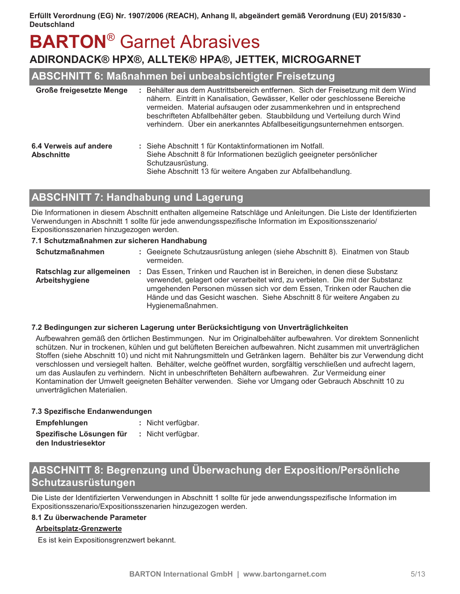# **BARTON<sup>®</sup> Garnet Abrasives**

## ADIRONDACK® HPX®, ALLTEK® HPA®, JETTEK, MICROGARNET

### ABSCHNITT 6: Maßnahmen bei unbeabsichtigter Freisetzung

| Große freigesetzte Menge                    | : Behälter aus dem Austrittsbereich entfernen. Sich der Freisetzung mit dem Wind<br>nähern. Eintritt in Kanalisation, Gewässer, Keller oder geschlossene Bereiche<br>vermeiden. Material aufsaugen oder zusammenkehren und in entsprechend<br>beschrifteten Abfallbehälter geben. Staubbildung und Verteilung durch Wind<br>verhindern. Über ein anerkanntes Abfallbeseitigungsunternehmen entsorgen. |  |
|---------------------------------------------|-------------------------------------------------------------------------------------------------------------------------------------------------------------------------------------------------------------------------------------------------------------------------------------------------------------------------------------------------------------------------------------------------------|--|
| 6.4 Verweis auf andere<br><b>Abschnitte</b> | : Siehe Abschnitt 1 für Kontaktinformationen im Notfall.<br>Siehe Abschnitt 8 für Informationen bezüglich geeigneter persönlicher<br>Schutzausrüstung.<br>Siehe Abschnitt 13 für weitere Angaben zur Abfallbehandlung.                                                                                                                                                                                |  |

## **ABSCHNITT 7: Handhabung und Lagerung**

Die Informationen in diesem Abschnitt enthalten allgemeine Ratschläge und Anleitungen. Die Liste der Identifizierten Verwendungen in Abschnitt 1 sollte für jede anwendungsspezifische Information im Expositionsszenario/ Expositionsszenarien hinzugezogen werden.

#### 7.1 Schutzmaßnahmen zur sicheren Handhabung

| <b>Schutzmaßnahmen</b>                      | : Geeignete Schutzausrüstung anlegen (siehe Abschnitt 8). Einatmen von Staub<br>vermeiden.                                                                                                                                                                                                                                             |
|---------------------------------------------|----------------------------------------------------------------------------------------------------------------------------------------------------------------------------------------------------------------------------------------------------------------------------------------------------------------------------------------|
| Ratschlag zur allgemeinen<br>Arbeitshygiene | : Das Essen, Trinken und Rauchen ist in Bereichen, in denen diese Substanz<br>verwendet, gelagert oder verarbeitet wird, zu verbieten. Die mit der Substanz<br>umgehenden Personen müssen sich vor dem Essen, Trinken oder Rauchen die<br>Hände und das Gesicht waschen. Siehe Abschnitt 8 für weitere Angaben zu<br>Hygienemaßnahmen. |

#### 7.2 Bedingungen zur sicheren Lagerung unter Berücksichtigung von Unverträglichkeiten

Aufbewahren gemäß den örtlichen Bestimmungen. Nur im Originalbehälter aufbewahren. Vor direktem Sonnenlicht schützen. Nur in trockenen, kühlen und gut belüfteten Bereichen aufbewahren. Nicht zusammen mit unverträglichen Stoffen (siehe Abschnitt 10) und nicht mit Nahrungsmitteln und Getränken lagern. Behälter bis zur Verwendung dicht verschlossen und versiegelt halten. Behälter, weiche geöffnet wurden, sorgfältig verschließen und aufrecht lagern. um das Auslaufen zu verhindern. Nicht in unbeschrifteten Behältern aufbewahren. Zur Vermeidung einer Kontamination der Umwelt geeigneten Behälter verwenden. Siehe vor Umgang oder Gebrauch Abschnitt 10 zu unverträglichen Materialien.

#### 7.3 Spezifische Endanwendungen

| <b>Empfehlungen</b>      | : Nicht verfügbar. |
|--------------------------|--------------------|
| Spezifische Lösungen für | : Nicht verfügbar. |
| den Industriesektor      |                    |

## ABSCHNITT 8: Begrenzung und Überwachung der Exposition/Persönliche Schutzausrüstungen

Die Liste der Identifizierten Verwendungen in Abschnitt 1 sollte für jede anwendungsspezifische Information im Expositionsszenario/Expositionsszenarien hinzugezogen werden.

#### 8.1 Zu überwachende Parameter

#### **Arbeitsplatz-Grenzwerte**

Es ist kein Expositionsgrenzwert bekannt.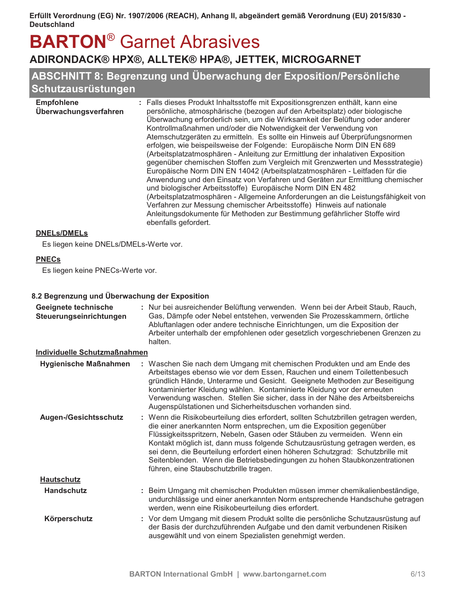## **BARTON<sup>®</sup> Garnet Abrasives** ADIRONDACK® HPX®, ALLTEK® HPA®, JETTEK, MICROGARNET

## ABSCHNITT 8: Begrenzung und Überwachung der Exposition/Persönliche Schutzausrüstungen

| erfolgen, wie beispeilsweise der Folgende: Europäische Norm DIN EN 689<br>(Arbeitsplatzatmosphären - Anleitung zur Ermittlung der inhalativen Exposition<br>Europäische Norm DIN EN 14042 (Arbeitsplatzatmosphären - Leitfaden für die<br>und biologischer Arbeitsstoffe) Europäische Norm DIN EN 482<br>Verfahren zur Messung chemischer Arbeitsstoffe) Hinweis auf nationale<br>Anleitungsdokumente für Methoden zur Bestimmung gefährlicher Stoffe wird<br>ebenfalls gefordert. | <b>Empfohlene</b><br>Überwachungsverfahren | : Falls dieses Produkt Inhaltsstoffe mit Expositionsgrenzen enthält, kann eine<br>persönliche, atmosphärische (bezogen auf den Arbeitsplatz) oder biologische<br>Überwachung erforderlich sein, um die Wirksamkeit der Belüftung oder anderer<br>Kontrollmaßnahmen und/oder die Notwendigkeit der Verwendung von<br>Atemschutzgeräten zu ermitteln. Es sollte ein Hinweis auf Überprüfungsnormen<br>gegenüber chemischen Stoffen zum Vergleich mit Grenzwerten und Messstrategie)<br>Anwendung und den Einsatz von Verfahren und Geräten zur Ermittlung chemischer<br>(Arbeitsplatzatmosphären - Allgemeine Anforderungen an die Leistungsfähigkeit von |
|------------------------------------------------------------------------------------------------------------------------------------------------------------------------------------------------------------------------------------------------------------------------------------------------------------------------------------------------------------------------------------------------------------------------------------------------------------------------------------|--------------------------------------------|---------------------------------------------------------------------------------------------------------------------------------------------------------------------------------------------------------------------------------------------------------------------------------------------------------------------------------------------------------------------------------------------------------------------------------------------------------------------------------------------------------------------------------------------------------------------------------------------------------------------------------------------------------|
|------------------------------------------------------------------------------------------------------------------------------------------------------------------------------------------------------------------------------------------------------------------------------------------------------------------------------------------------------------------------------------------------------------------------------------------------------------------------------------|--------------------------------------------|---------------------------------------------------------------------------------------------------------------------------------------------------------------------------------------------------------------------------------------------------------------------------------------------------------------------------------------------------------------------------------------------------------------------------------------------------------------------------------------------------------------------------------------------------------------------------------------------------------------------------------------------------------|

#### **DNELs/DMELs**

Es liegen keine DNELs/DMELs-Werte vor.

#### **PNECs**

Es liegen keine PNECs-Werte vor.

#### 8.2 Begrenzung und Überwachung der Exposition

| Geeignete technische<br>Steuerungseinrichtungen | : Nur bei ausreichender Belüftung verwenden. Wenn bei der Arbeit Staub, Rauch,<br>Gas, Dämpfe oder Nebel entstehen, verwenden Sie Prozesskammern, örtliche<br>Abluftanlagen oder andere technische Einrichtungen, um die Exposition der<br>Arbeiter unterhalb der empfohlenen oder gesetzlich vorgeschriebenen Grenzen zu<br>halten.                                                                                                                                                                                            |
|-------------------------------------------------|---------------------------------------------------------------------------------------------------------------------------------------------------------------------------------------------------------------------------------------------------------------------------------------------------------------------------------------------------------------------------------------------------------------------------------------------------------------------------------------------------------------------------------|
| <b>Individuelle Schutzmaßnahmen</b>             |                                                                                                                                                                                                                                                                                                                                                                                                                                                                                                                                 |
| <b>Hygienische Maßnahmen</b>                    | : Waschen Sie nach dem Umgang mit chemischen Produkten und am Ende des<br>Arbeitstages ebenso wie vor dem Essen, Rauchen und einem Toilettenbesuch<br>gründlich Hände, Unterarme und Gesicht. Geeignete Methoden zur Beseitigung<br>kontaminierter Kleidung wählen. Kontaminierte Kleidung vor der erneuten<br>Verwendung waschen. Stellen Sie sicher, dass in der Nähe des Arbeitsbereichs<br>Augenspülstationen und Sicherheitsduschen vorhanden sind.                                                                        |
| <b>Augen-/Gesichtsschutz</b>                    | : Wenn die Risikobeurteilung dies erfordert, sollten Schutzbrillen getragen werden,<br>die einer anerkannten Norm entsprechen, um die Exposition gegenüber<br>Flüssigkeitsspritzern, Nebeln, Gasen oder Stäuben zu vermeiden. Wenn ein<br>Kontakt möglich ist, dann muss folgende Schutzausrüstung getragen werden, es<br>sei denn, die Beurteilung erfordert einen höheren Schutzgrad: Schutzbrille mit<br>Seitenblenden. Wenn die Betriebsbedingungen zu hohen Staubkonzentrationen<br>führen, eine Staubschutzbrille tragen. |
| <b>Hautschutz</b>                               |                                                                                                                                                                                                                                                                                                                                                                                                                                                                                                                                 |
| <b>Handschutz</b>                               | : Beim Umgang mit chemischen Produkten müssen immer chemikalienbeständige,<br>undurchlässige und einer anerkannten Norm entsprechende Handschuhe getragen<br>werden, wenn eine Risikobeurteilung dies erfordert.                                                                                                                                                                                                                                                                                                                |
| Körperschutz                                    | : Vor dem Umgang mit diesem Produkt sollte die persönliche Schutzausrüstung auf<br>der Basis der durchzuführenden Aufgabe und den damit verbundenen Risiken<br>ausgewählt und von einem Spezialisten genehmigt werden.                                                                                                                                                                                                                                                                                                          |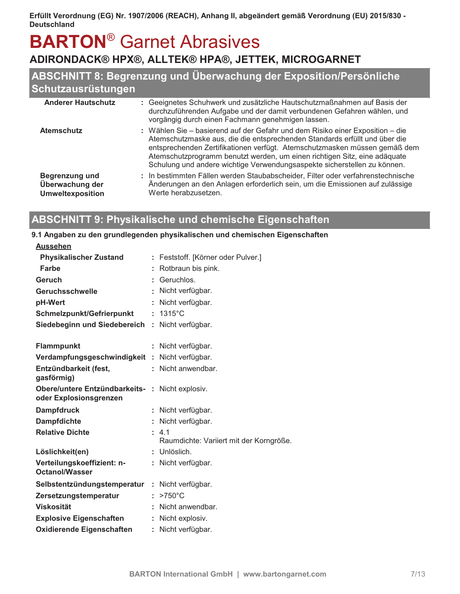## **BARTON<sup>®</sup> Garnet Abrasives** ADIRONDACK® HPX®, ALLTEK® HPA®, JETTEK, MICROGARNET

## ABSCHNITT 8: Begrenzung und Überwachung der Exposition/Persönliche Schutzausrüstungen

| <b>Anderer Hautschutz</b>                                    | : Geeignetes Schuhwerk und zusätzliche Hautschutzmaßnahmen auf Basis der<br>durchzuführenden Aufgabe und der damit verbundenen Gefahren wählen, und<br>vorgängig durch einen Fachmann genehmigen lassen.                                                                                                                                                                                          |
|--------------------------------------------------------------|---------------------------------------------------------------------------------------------------------------------------------------------------------------------------------------------------------------------------------------------------------------------------------------------------------------------------------------------------------------------------------------------------|
| <b>Atemschutz</b>                                            | : Wählen Sie – basierend auf der Gefahr und dem Risiko einer Exposition – die<br>Atemschutzmaske aus, die die entsprechenden Standards erfüllt und über die<br>entsprechenden Zertifikationen verfügt. Atemschutzmasken müssen gemäß dem<br>Atemschutzprogramm benutzt werden, um einen richtigen Sitz, eine adäquate<br>Schulung und andere wichtige Verwendungsaspekte sicherstellen zu können. |
| Begrenzung und<br>Überwachung der<br><b>Umweltexposition</b> | : In bestimmten Fällen werden Staubabscheider, Filter oder verfahrenstechnische<br>Änderungen an den Anlagen erforderlich sein, um die Emissionen auf zulässige<br>Werte herabzusetzen.                                                                                                                                                                                                           |

## **ABSCHNITT 9: Physikalische und chemische Eigenschaften**

#### 9.1 Angaben zu den grundlegenden physikalischen und chemischen Eigenschaften

| <b>Aussehen</b>                                                           |    |                                         |
|---------------------------------------------------------------------------|----|-----------------------------------------|
| <b>Physikalischer Zustand</b>                                             |    | : Feststoff. [Körner oder Pulver.]      |
| Farbe                                                                     |    | Rotbraun bis pink.                      |
| Geruch                                                                    |    | Geruchlos.                              |
| <b>Geruchsschwelle</b>                                                    |    | Nicht verfügbar.                        |
| pH-Wert                                                                   |    | Nicht verfügbar.                        |
| Schmelzpunkt/Gefrierpunkt                                                 | ÷  | $1315^{\circ}$ C                        |
| Siedebeginn und Siedebereich : Nicht verfügbar.                           |    |                                         |
|                                                                           |    |                                         |
| <b>Flammpunkt</b>                                                         |    | Nicht verfügbar.                        |
| Verdampfungsgeschwindigkeit: Nicht verfügbar.                             |    |                                         |
| Entzündbarkeit (fest,<br>gasförmig)                                       |    | : Nicht anwendbar.                      |
| Obere/untere Entzündbarkeits- : Nicht explosiv.<br>oder Explosionsgrenzen |    |                                         |
| <b>Dampfdruck</b>                                                         |    | Nicht verfügbar.                        |
| <b>Dampfdichte</b>                                                        |    | Nicht verfügbar.                        |
| <b>Relative Dichte</b>                                                    |    | $\pm$ 41                                |
|                                                                           |    | Raumdichte: Variiert mit der Korngröße. |
| Löslichkeit(en)                                                           |    | : Unlöslich.                            |
| Verteilungskoeffizient: n-<br><b>Octanol/Wasser</b>                       | ÷. | Nicht verfügbar.                        |
| Selbstentzündungstemperatur                                               | ÷  | Nicht verfügbar.                        |
| Zersetzungstemperatur                                                     |    | $>750^{\circ}$ C                        |
| <b>Viskosität</b>                                                         |    | Nicht anwendbar.                        |
| <b>Explosive Eigenschaften</b>                                            |    | : Nicht explosiv.                       |
| <b>Oxidierende Eigenschaften</b>                                          | ÷. | Nicht verfügbar.                        |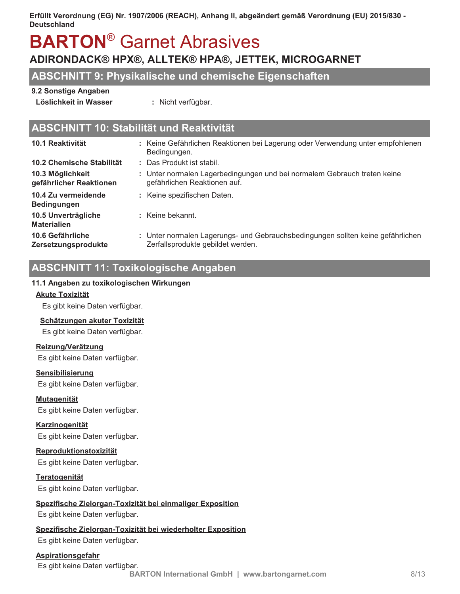# **BARTON<sup>®</sup> Garnet Abrasives**

## ADIRONDACK® HPX®, ALLTEK® HPA®, JETTEK, MICROGARNET

## **ABSCHNITT 9: Physikalische und chemische Eigenschaften**

#### 9.2 Sonstige Angaben

Löslichkeit in Wasser

: Nicht verfügbar.

## **ABSCHNITT 10: Stabilität und Reaktivität**

| 10.1 Reaktivität                            | : Keine Gefährlichen Reaktionen bei Lagerung oder Verwendung unter empfohlenen<br>Bedingungen.                       |
|---------------------------------------------|----------------------------------------------------------------------------------------------------------------------|
| 10.2 Chemische Stabilität                   | : Das Produkt ist stabil.                                                                                            |
| 10.3 Möglichkeit<br>gefährlicher Reaktionen | : Unter normalen Lagerbedingungen und bei normalem Gebrauch treten keine<br>gefährlichen Reaktionen auf.             |
| 10.4 Zu vermeidende<br><b>Bedingungen</b>   | : Keine spezifischen Daten.                                                                                          |
| 10.5 Unverträgliche<br><b>Materialien</b>   | : Keine bekannt.                                                                                                     |
| 10.6 Gefährliche<br>Zersetzungsprodukte     | : Unter normalen Lagerungs- und Gebrauchsbedingungen sollten keine gefährlichen<br>Zerfallsprodukte gebildet werden. |

## **ABSCHNITT 11: Toxikologische Angaben**

#### 11.1 Angaben zu toxikologischen Wirkungen

#### **Akute Toxizität**

Es gibt keine Daten verfügbar.

#### Schätzungen akuter Toxizität

Es gibt keine Daten verfügbar.

#### Reizung/Verätzung

Es gibt keine Daten verfügbar.

#### **Sensibilisierung**

Es gibt keine Daten verfügbar.

#### **Mutagenität**

Es gibt keine Daten verfügbar.

#### **Karzinogenität**

Es gibt keine Daten verfügbar.

#### Reproduktionstoxizität

Es gibt keine Daten verfügbar.

#### **Teratogenität**

Es gibt keine Daten verfügbar.

#### Spezifische Zielorgan-Toxizität bei einmaliger Exposition

Es gibt keine Daten verfügbar.

#### Spezifische Zielorgan-Toxizität bei wiederholter Exposition

Es gibt keine Daten verfügbar.

#### **Aspirationsgefahr**

Es gibt keine Daten verfügbar.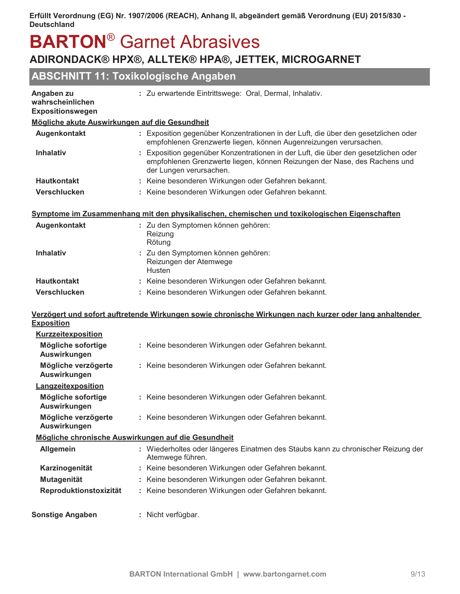## **BARTON<sup>®</sup> Garnet Abrasives** ADIRONDACK® HPX®, ALLTEK® HPA®, JETTEK, MICROGARNET

## ABSCHNITT 11: Toxikologische Angaben

| Angaben zu<br>wahrscheinlichen                 | : Zu erwartende Eintrittswege: Oral, Dermal, Inhalativ.                                                                                                                                    |  |  |  |
|------------------------------------------------|--------------------------------------------------------------------------------------------------------------------------------------------------------------------------------------------|--|--|--|
| Expositionswegen                               |                                                                                                                                                                                            |  |  |  |
| Mögliche akute Auswirkungen auf die Gesundheit |                                                                                                                                                                                            |  |  |  |
| Augenkontakt                                   | : Exposition gegenüber Konzentrationen in der Luft, die über den gesetzlichen oder<br>empfohlenen Grenzwerte liegen, können Augenreizungen verursachen.                                    |  |  |  |
| <b>Inhalativ</b>                               | : Exposition gegenüber Konzentrationen in der Luft, die über den gesetzlichen oder<br>empfohlenen Grenzwerte liegen, können Reizungen der Nase, des Rachens und<br>der Lungen verursachen. |  |  |  |
| <b>Hautkontakt</b>                             | : Keine besonderen Wirkungen oder Gefahren bekannt.                                                                                                                                        |  |  |  |
| <b>Verschlucken</b>                            | : Keine besonderen Wirkungen oder Gefahren bekannt.                                                                                                                                        |  |  |  |
|                                                | Symptome im Zusammenhang mit den physikalischen, chemischen und toxikologischen Eigenschaften                                                                                              |  |  |  |
| Augenkontakt                                   | : Zu den Symptomen können gehören:<br>Reizung<br>Rötung                                                                                                                                    |  |  |  |
| <b>Inhalativ</b>                               | : Zu den Symptomen können gehören:<br>Reizungen der Atemwege<br>Husten                                                                                                                     |  |  |  |
| <b>Hautkontakt</b>                             | : Keine besonderen Wirkungen oder Gefahren bekannt.                                                                                                                                        |  |  |  |
| Verschlucken                                   | : Keine besonderen Wirkungen oder Gefahren bekannt.                                                                                                                                        |  |  |  |
|                                                | <u>Verzögert und sofort auftretende Wirkungen sowie chronische Wirkungen nach kurzer oder lang anhaltender</u>                                                                             |  |  |  |
| <b>Exposition</b>                              |                                                                                                                                                                                            |  |  |  |
| <b>Kurzzeitexposition</b>                      |                                                                                                                                                                                            |  |  |  |
| Mögliche sofortige<br>Auswirkungen             | : Keine besonderen Wirkungen oder Gefahren bekannt.                                                                                                                                        |  |  |  |
| Mögliche verzögerte<br>Auswirkungen            | : Keine besonderen Wirkungen oder Gefahren bekannt.                                                                                                                                        |  |  |  |
| Langzeitexposition                             |                                                                                                                                                                                            |  |  |  |
| Mögliche sofortige<br>Auswirkungen             | : Keine besonderen Wirkungen oder Gefahren bekannt.                                                                                                                                        |  |  |  |
| Mögliche verzögerte<br>Auswirkungen            | : Keine besonderen Wirkungen oder Gefahren bekannt.                                                                                                                                        |  |  |  |
|                                                | Mögliche chronische Auswirkungen auf die Gesundheit                                                                                                                                        |  |  |  |
| <b>Allgemein</b>                               | : Wiederholtes oder längeres Einatmen des Staubs kann zu chronischer Reizung der<br>Atemwege führen.                                                                                       |  |  |  |
| Karzinogenität                                 | : Keine besonderen Wirkungen oder Gefahren bekannt.                                                                                                                                        |  |  |  |
| <b>Mutagenität</b>                             | : Keine besonderen Wirkungen oder Gefahren bekannt.                                                                                                                                        |  |  |  |
| Reproduktionstoxizität                         | : Keine besonderen Wirkungen oder Gefahren bekannt.                                                                                                                                        |  |  |  |
| <b>Sonstige Angaben</b>                        | : Nicht verfügbar.                                                                                                                                                                         |  |  |  |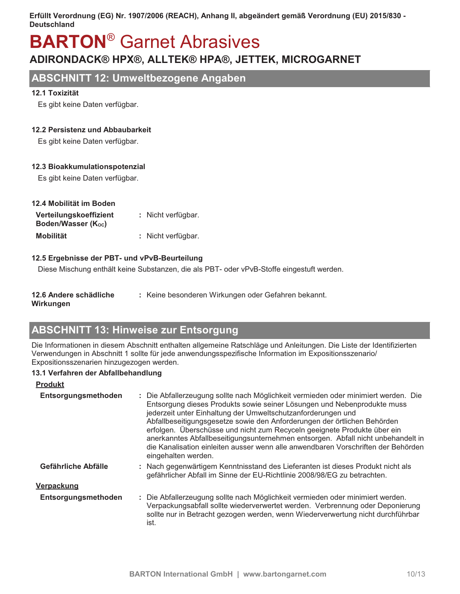# **BARTON<sup>®</sup> Garnet Abrasives**

## ADIRONDACK® HPX®, ALLTEK® HPA®, JETTEK, MICROGARNET

## **ABSCHNITT 12: Umweltbezogene Angaben**

#### 12.1 Toxizität

Es gibt keine Daten verfügbar.

#### 12.2 Persistenz und Abbaubarkeit

Es gibt keine Daten verfügbar.

#### 12.3 Bioakkumulationspotenzial

Es gibt keine Daten verfügbar.

| 12.4 Mobilität im Boden |                    |
|-------------------------|--------------------|
| Verteilungskoeffizient  | : Nicht verfügbar. |
| Boden/Wasser (Koc)      |                    |
| <b>Mobilität</b>        | : Nicht verfügbar. |

#### 12.5 Ergebnisse der PBT- und vPvB-Beurteilung

Diese Mischung enthält keine Substanzen, die als PBT- oder vPvB-Stoffe eingestuft werden.

| : Keine besonderen Wirkungen oder Gefahren bekannt. |
|-----------------------------------------------------|
|                                                     |

Wirkungen

## **ABSCHNITT 13: Hinweise zur Entsorgung**

Die Informationen in diesem Abschnitt enthalten allgemeine Ratschläge und Anleitungen. Die Liste der Identifizierten Verwendungen in Abschnitt 1 sollte für jede anwendungsspezifische Information im Expositionsszenario/ Expositionsszenarien hinzugezogen werden.

#### 13.1 Verfahren der Abfallbehandlung

| <b>Produkt</b>      |                                                                                                                                                                                                                                                                                                                                                                                                                                                                                                                                                                                       |
|---------------------|---------------------------------------------------------------------------------------------------------------------------------------------------------------------------------------------------------------------------------------------------------------------------------------------------------------------------------------------------------------------------------------------------------------------------------------------------------------------------------------------------------------------------------------------------------------------------------------|
| Entsorgungsmethoden | : Die Abfallerzeugung sollte nach Möglichkeit vermieden oder minimiert werden. Die<br>Entsorgung dieses Produkts sowie seiner Lösungen und Nebenprodukte muss<br>jederzeit unter Einhaltung der Umweltschutzanforderungen und<br>Abfallbeseitigungsgesetze sowie den Anforderungen der örtlichen Behörden<br>erfolgen. Überschüsse und nicht zum Recyceln geeignete Produkte über ein<br>anerkanntes Abfallbeseitigungsunternehmen entsorgen. Abfall nicht unbehandelt in<br>die Kanalisation einleiten ausser wenn alle anwendbaren Vorschriften der Behörden<br>eingehalten werden. |
| Gefährliche Abfälle | : Nach gegenwärtigem Kenntnisstand des Lieferanten ist dieses Produkt nicht als<br>gefährlicher Abfall im Sinne der EU-Richtlinie 2008/98/EG zu betrachten.                                                                                                                                                                                                                                                                                                                                                                                                                           |
| <b>Verpackung</b>   |                                                                                                                                                                                                                                                                                                                                                                                                                                                                                                                                                                                       |
| Entsorgungsmethoden | : Die Abfallerzeugung sollte nach Möglichkeit vermieden oder minimiert werden.<br>Verpackungsabfall sollte wiederverwertet werden. Verbrennung oder Deponierung<br>sollte nur in Betracht gezogen werden, wenn Wiederverwertung nicht durchführbar<br>ist.                                                                                                                                                                                                                                                                                                                            |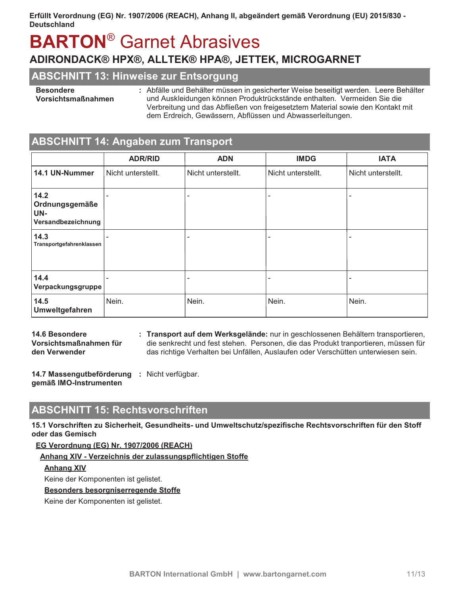# **BARTON<sup>®</sup> Garnet Abrasives**

## ADIRONDACK® HPX®, ALLTEK® HPA®, JETTEK, MICROGARNET

## **ABSCHNITT 13: Hinweise zur Entsorgung**

#### **Besondere**

Vorsichtsmaßnahmen

: Abfälle und Behälter müssen in gesicherter Weise beseitigt werden. Leere Behälter und Auskleidungen können Produktrückstände enthalten. Vermeiden Sie die Verbreitung und das Abfließen von freigesetztem Material sowie den Kontakt mit dem Erdreich, Gewässern, Abflüssen und Abwasserleitungen.

## **ABSCHNITT 14: Angaben zum Transport**

|                                                     | <b>ADR/RID</b>     | <b>ADN</b>         | <b>IMDG</b>        | <b>IATA</b>        |
|-----------------------------------------------------|--------------------|--------------------|--------------------|--------------------|
| 14.1 UN-Nummer                                      | Nicht unterstellt. | Nicht unterstellt. | Nicht unterstellt. | Nicht unterstellt. |
| 14.2<br>Ordnungsgemäße<br>UN-<br>Versandbezeichnung |                    |                    | -                  |                    |
| 14.3<br>Transportgefahrenklassen                    |                    |                    | -                  | -                  |
| 14.4<br>Verpackungsgruppe                           |                    |                    |                    |                    |
| 14.5<br>Umweltgefahren                              | Nein.              | Nein.              | Nein.              | Nein.              |

14.6 Besondere Vorsichtsmaßnahmen für den Verwender

: Transport auf dem Werksgelände: nur in geschlossenen Behältern transportieren, die senkrecht und fest stehen. Personen, die das Produkt tranportieren, müssen für das richtige Verhalten bei Unfällen, Auslaufen oder Verschütten unterwiesen sein.

14.7 Massengutbeförderung : Nicht verfügbar. gemäß IMO-Instrumenten

## **ABSCHNITT 15: Rechtsvorschriften**

15.1 Vorschriften zu Sicherheit, Gesundheits- und Umweltschutz/spezifische Rechtsvorschriften für den Stoff oder das Gemisch

#### EG Verordnung (EG) Nr. 1907/2006 (REACH)

Anhang XIV - Verzeichnis der zulassungspflichtigen Stoffe

#### **Anhang XIV**

Keine der Komponenten ist gelistet.

#### **Besonders besorgniserregende Stoffe**

Keine der Komponenten ist gelistet.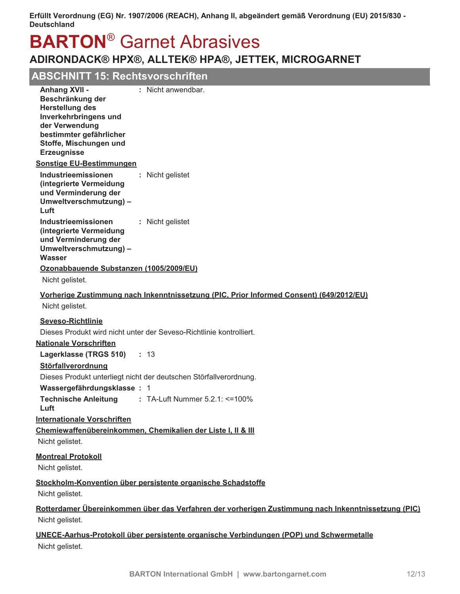# **BARTON<sup>®</sup> Garnet Abrasives**

## ADIRONDACK® HPX®, ALLTEK® HPA®, JETTEK, MICROGARNET

## **ABSCHNITT 15: Rechtsvorschriften**

| <b>Anhang XVII -</b><br>Beschränkung der<br><b>Herstellung des</b><br>Inverkehrbringens und<br>der Verwendung<br>bestimmter gefährlicher<br>Stoffe, Mischungen und<br><b>Erzeugnisse</b> | : Nicht anwendbar.                                                                                  |
|------------------------------------------------------------------------------------------------------------------------------------------------------------------------------------------|-----------------------------------------------------------------------------------------------------|
| <b>Sonstige EU-Bestimmungen</b>                                                                                                                                                          |                                                                                                     |
| Industrieemissionen<br>(integrierte Vermeidung<br>und Verminderung der<br>Umweltverschmutzung) -<br>Luft                                                                                 | : Nicht gelistet                                                                                    |
| Industrieemissionen<br>(integrierte Vermeidung<br>und Verminderung der<br>Umweltverschmutzung) -<br>Wasser                                                                               | : Nicht gelistet                                                                                    |
| Ozonabbauende Substanzen (1005/2009/EU)                                                                                                                                                  |                                                                                                     |
| Nicht gelistet.                                                                                                                                                                          |                                                                                                     |
| Nicht gelistet.                                                                                                                                                                          | Vorherige Zustimmung nach Inkenntnissetzung (PIC, Prior Informed Consent) (649/2012/EU)             |
| <b>Seveso-Richtlinie</b>                                                                                                                                                                 |                                                                                                     |
|                                                                                                                                                                                          | Dieses Produkt wird nicht unter der Seveso-Richtlinie kontrolliert.                                 |
| <b>Nationale Vorschriften</b>                                                                                                                                                            |                                                                                                     |
| Lagerklasse (TRGS 510) : 13                                                                                                                                                              |                                                                                                     |
| Störfallverordnung                                                                                                                                                                       |                                                                                                     |
| Wassergefährdungsklasse: 1                                                                                                                                                               | Dieses Produkt unterliegt nicht der deutschen Störfallverordnung.                                   |
| <b>Technische Anleitung</b>                                                                                                                                                              | $\therefore$ TA-Luft Nummer 5.2.1: <=100%                                                           |
| Luft                                                                                                                                                                                     |                                                                                                     |
| <b>Internationale Vorschriften</b>                                                                                                                                                       | Chemiewaffenübereinkommen, Chemikalien der Liste I, II & III                                        |
| Nicht gelistet.                                                                                                                                                                          |                                                                                                     |
| <b>Montreal Protokoll</b>                                                                                                                                                                |                                                                                                     |
| Nicht gelistet.                                                                                                                                                                          |                                                                                                     |
| Nicht gelistet.                                                                                                                                                                          | Stockholm-Konvention über persistente organische Schadstoffe                                        |
|                                                                                                                                                                                          | Rotterdamer Übereinkommen über das Verfahren der vorherigen Zustimmung nach Inkenntnissetzung (PIC) |
| Nicht gelistet.                                                                                                                                                                          |                                                                                                     |
|                                                                                                                                                                                          | UNECE-Aarhus-Protokoll über persistente organische Verbindungen (POP) und Schwermetalle             |

Nicht gelistet.